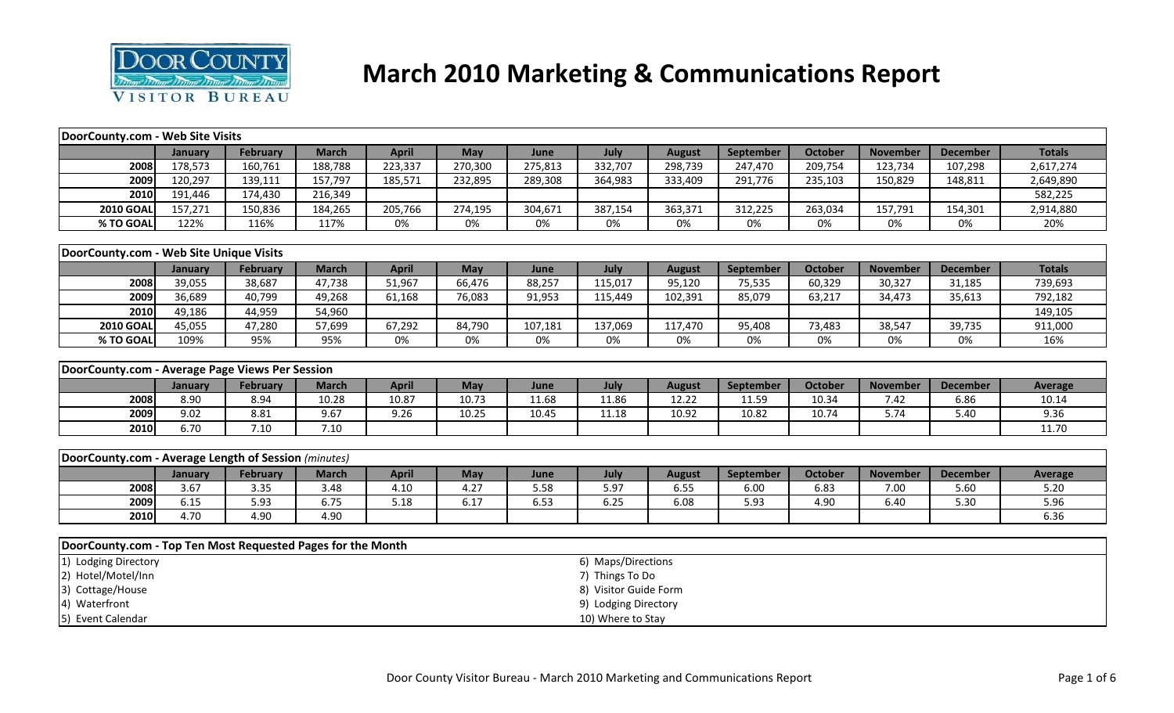

# **March 2010 Marketing & Communications Report**

| DoorCounty.com - Web Site Visits                            |         |                 |              |              |            |         |                       |               |           |                |                 |                 |                |
|-------------------------------------------------------------|---------|-----------------|--------------|--------------|------------|---------|-----------------------|---------------|-----------|----------------|-----------------|-----------------|----------------|
|                                                             | January | February        | <b>March</b> | <b>April</b> | <b>May</b> | June    | July                  | <b>August</b> | September | October        | <b>November</b> | <b>December</b> | <b>Totals</b>  |
| 2008                                                        | 178,573 | 160,761         | 188,788      | 223,337      | 270,300    | 275,813 | 332,707               | 298,739       | 247,470   | 209,754        | 123,734         | 107,298         | 2,617,274      |
| 2009                                                        | 120,297 | 139,111         | 157,797      | 185,571      | 232,895    | 289,308 | 364,983               | 333,409       | 291,776   | 235,103        | 150,829         | 148,811         | 2,649,890      |
| 2010                                                        | 191,446 | 174,430         | 216,349      |              |            |         |                       |               |           |                |                 |                 | 582,225        |
| <b>2010 GOAL</b>                                            | 157,271 | 150,836         | 184,265      | 205,766      | 274,195    | 304,671 | 387,154               | 363,371       | 312,225   | 263,034        | 157,791         | 154,301         | 2,914,880      |
| % TO GOAL                                                   | 122%    | 116%            | 117%         | 0%           | 0%         | 0%      | 0%                    | 0%            | 0%        | 0%             | 0%              | 0%              | 20%            |
|                                                             |         |                 |              |              |            |         |                       |               |           |                |                 |                 |                |
| DoorCounty.com - Web Site Unique Visits                     |         |                 |              |              |            |         |                       |               |           |                |                 |                 |                |
|                                                             | January | February        | <b>March</b> | <b>April</b> | May        | June    | July                  | <b>August</b> | September | <b>October</b> | <b>November</b> | <b>December</b> | <b>Totals</b>  |
| 2008                                                        | 39,055  | 38,687          | 47,738       | 51,967       | 66,476     | 88,257  | 115,017               | 95,120        | 75,535    | 60,329         | 30,327          | 31,185          | 739,693        |
| 2009                                                        | 36,689  | 40,799          | 49,268       | 61,168       | 76,083     | 91,953  | 115,449               | 102,391       | 85,079    | 63,217         | 34,473          | 35,613          | 792,182        |
| 2010                                                        | 49,186  | 44,959          | 54,960       |              |            |         |                       |               |           |                |                 |                 | 149,105        |
| <b>2010 GOAL</b>                                            | 45,055  | 47,280          | 57,699       | 67,292       | 84,790     | 107,181 | 137,069               | 117,470       | 95,408    | 73,483         | 38,547          | 39,735          | 911,000        |
| % TO GOAL                                                   | 109%    | 95%             | 95%          | 0%           | 0%         | 0%      | 0%                    | 0%            | 0%        | 0%             | 0%              | 0%              | 16%            |
|                                                             |         |                 |              |              |            |         |                       |               |           |                |                 |                 |                |
| DoorCounty.com - Average Page Views Per Session             |         |                 |              |              |            |         |                       |               |           |                |                 |                 |                |
|                                                             | January | February        | <b>March</b> | <b>April</b> | May        | June    | July                  | <b>August</b> | September | October        | <b>November</b> | <b>December</b> | <b>Average</b> |
| 2008                                                        | 8.90    | 8.94            | 10.28        | 10.87        | 10.73      | 11.68   | 11.86                 | 12.22         | 11.59     | 10.34          | 7.42            | 6.86            | 10.14          |
| 2009                                                        | 9.02    | 8.81            | 9.67         | 9.26         | 10.25      | 10.45   | 11.18                 | 10.92         | 10.82     | 10.74          | 5.74            | 5.40            | 9.36           |
| 2010                                                        | 6.70    | 7.10            | 7.10         |              |            |         |                       |               |           |                |                 |                 | 11.70          |
|                                                             |         |                 |              |              |            |         |                       |               |           |                |                 |                 |                |
| DoorCounty.com - Average Length of Session (minutes)        |         |                 |              |              |            |         |                       |               |           |                |                 |                 |                |
|                                                             | January | <b>February</b> | <b>March</b> | <b>April</b> | May        | June    | July                  | <b>August</b> | September | October        | <b>November</b> | <b>December</b> | <b>Average</b> |
| 2008                                                        | 3.67    | 3.35            | 3.48         | 4.10         | 4.27       | 5.58    | 5.97                  | 6.55          | 6.00      | 6.83           | 7.00            | 5.60            | 5.20           |
| 2009                                                        | 6.15    | 5.93            | 6.75         | 5.18         | 6.17       | 6.53    | 6.25                  | 6.08          | 5.93      | 4.90           | 6.40            | 5.30            | 5.96           |
| 2010                                                        | 4.70    | 4.90            | 4.90         |              |            |         |                       |               |           |                |                 |                 | 6.36           |
|                                                             |         |                 |              |              |            |         |                       |               |           |                |                 |                 |                |
| DoorCounty.com - Top Ten Most Requested Pages for the Month |         |                 |              |              |            |         |                       |               |           |                |                 |                 |                |
| 1) Lodging Directory                                        |         |                 |              |              |            |         | 6) Maps/Directions    |               |           |                |                 |                 |                |
| 2) Hotel/Motel/Inn                                          |         |                 |              |              |            |         | 7) Things To Do       |               |           |                |                 |                 |                |
| 3) Cottage/House                                            |         |                 |              |              |            |         | 8) Visitor Guide Form |               |           |                |                 |                 |                |
| 4) Waterfront                                               |         |                 |              |              |            |         | 9) Lodging Directory  |               |           |                |                 |                 |                |
| 5) Event Calendar                                           |         |                 |              |              |            |         | 10) Where to Stay     |               |           |                |                 |                 |                |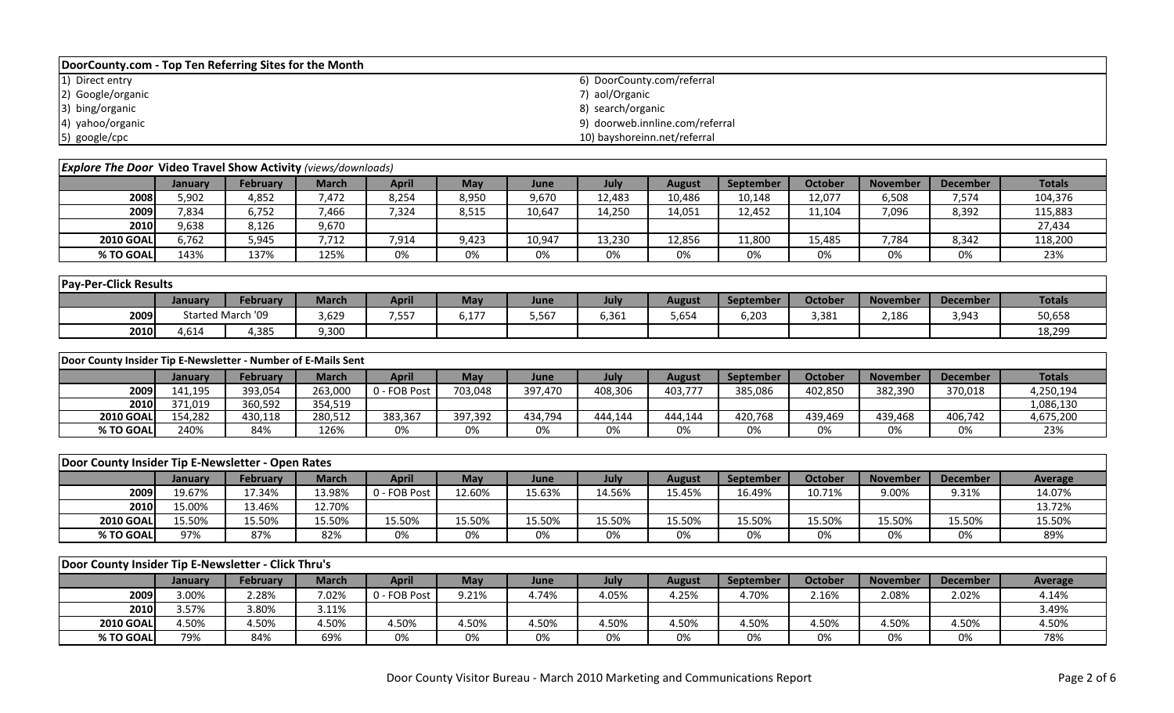| DoorCounty.com - Top Ten Referring Sites for the Month |                                 |  |  |  |  |  |  |  |  |  |
|--------------------------------------------------------|---------------------------------|--|--|--|--|--|--|--|--|--|
| 1) Direct entry                                        | 6) DoorCounty.com/referral      |  |  |  |  |  |  |  |  |  |
| 2) Google/organic                                      | 7) aol/Organic                  |  |  |  |  |  |  |  |  |  |
| 3) bing/organic                                        | 8) search/organic               |  |  |  |  |  |  |  |  |  |
| 4) yahoo/organic                                       | 9) doorweb.innline.com/referral |  |  |  |  |  |  |  |  |  |
| 5) google/cpc                                          | 10) bayshoreinn.net/referral    |  |  |  |  |  |  |  |  |  |

| <b>Explore The Door Video Travel Show Activity</b> (views/downloads) |         |                 |              |              |       |        |        |        |                  |         |                 |                 |               |
|----------------------------------------------------------------------|---------|-----------------|--------------|--------------|-------|--------|--------|--------|------------------|---------|-----------------|-----------------|---------------|
|                                                                      | January | <b>February</b> | <b>March</b> | <b>April</b> | May   | June   | July   | August | <b>September</b> | October | <b>November</b> | <b>December</b> | <b>Totals</b> |
| 2008                                                                 | 5,902   | 4,852           | 7.472        | 8,254        | 8,950 | 9,670  | 12,483 | 10,486 | 10,148           | 12,077  | 6,508           | 7,574           | 104,376       |
| 2009                                                                 | 7,834   | 6,752           | 7,466        | 7,324        | 8,515 | 10,647 | 14,250 | 14,051 | 12.452           | 11,104  | 7,096           | 8,392           | 115,883       |
| 2010                                                                 | 9,638   | 8,126           | 9,670        |              |       |        |        |        |                  |         |                 |                 | 27,434        |
| <b>2010 GOAL</b>                                                     | 6.762   | 5,945           | 7,712        | 7,914        | 9,423 | 10,947 | 13,230 | 12,856 | 11,800           | 15,485  | 7,784           | 8,342           | 118,200       |
| % TO GOAL                                                            | 143%    | 137%            | 125%         | 0%           | 0%    | 0%     | 0%     | 0%     | 0%               | 0%      | 0%              | 0%              | 23%           |

| <b>Pay-Per-Click Results</b> |         |                   |              |              |                  |       |       |        |           |                |                 |          |               |
|------------------------------|---------|-------------------|--------------|--------------|------------------|-------|-------|--------|-----------|----------------|-----------------|----------|---------------|
|                              | January | <b>February</b>   | <b>March</b> | <b>April</b> | May              | June  | July  | August | September | <b>October</b> | <b>November</b> | December | <b>Totals</b> |
| 2009                         |         | Started March '09 | 3,629        | 7,557        | $-1 - 7$<br>∪,⊥7 | 5,567 | 6,361 | 5,654  | 6,203     | 3,381          | 2,186           | 3,943    | 50,658        |
| 2010                         | 4,614   | 1,385             | 9,300        |              |                  |       |       |        |           |                |                 |          | 18,299        |

| Door County Insider Tip E-Newsletter - Number of E-Mails Sent |                |                 |              |              |         |         |         |         |           |                |                 |                 |               |
|---------------------------------------------------------------|----------------|-----------------|--------------|--------------|---------|---------|---------|---------|-----------|----------------|-----------------|-----------------|---------------|
|                                                               | <b>January</b> | <b>February</b> | <b>March</b> | April        | Mav     | June    | July    | August  | September | <b>October</b> | <b>November</b> | <b>December</b> | <b>Totals</b> |
| 2009                                                          | 141.195        | 393,054         | 263.000      | 0 - FOB Post | 703.048 | 397,470 | 408,306 | 403,777 | 385,086   | 402.850        | 382.390         | 370,018         | 4,250,194     |
| <b>2010</b>                                                   | 371.019        | 360,592         | 354.519      |              |         |         |         |         |           |                |                 |                 | 1,086,130     |
| <b>2010 GOAL</b>                                              | 154.282        | 430,118         | 280.512      | 383,367      | 397.392 | 434.794 | 444.144 | 444.144 | 420.768   | 439.469        | 439.468         | 406,742         | 4,675,200     |
| % TO GOAL                                                     | 240%           | 84%             | 126%         | 0%           | 0%      | 0%      | 0%      | 0%      | 0%        | 0%             | 0%              | 0%              | 23%           |

| Door County Insider Tip E-Newsletter - Open Rates |         |                 |              | <b>October</b><br>July<br>April<br><b>December</b><br>May<br><b>September</b><br><b>November</b><br><b>August</b><br>June<br>L <b>2.60%</b><br>16.49%<br>9.00%<br>15.63%<br>4.56%<br>9.31%<br>15.45%<br>10.71%<br>0 - FOB Post |        |        |        |        |        |        |        |        |         |
|---------------------------------------------------|---------|-----------------|--------------|--------------------------------------------------------------------------------------------------------------------------------------------------------------------------------------------------------------------------------|--------|--------|--------|--------|--------|--------|--------|--------|---------|
|                                                   | Januarv | <b>February</b> | <b>March</b> |                                                                                                                                                                                                                                |        |        |        |        |        |        |        |        | Average |
| 2009                                              | 19.67%  | 17.34%          | L3.98%       |                                                                                                                                                                                                                                |        |        |        |        |        |        |        |        | 14.07%  |
| 2010                                              | 15.00%  | 13.46%          | 12.70%       |                                                                                                                                                                                                                                |        |        |        |        |        |        |        |        | 13.72%  |
| <b>2010 GOAL</b>                                  | '.5.50% | 15.50%          | 15.50%       | L5.50%                                                                                                                                                                                                                         | 15.50% | 15.50% | 15.50% | 15.50% | 15.50% | 15.50% | 15.50% | 15.50% | 15.50%  |
| % TO GOAL                                         | 97%     | 87%             | 82%          | 0%                                                                                                                                                                                                                             | 0%     | 0%     | 0%     | 0%     | 0%     | 0%     | 0%     | 0%     | 89%     |

|                  | Door County Insider Tip E-Newsletter - Click Thru's |                 |       |              |       |       |       |        |           |                |                 |                 |         |
|------------------|-----------------------------------------------------|-----------------|-------|--------------|-------|-------|-------|--------|-----------|----------------|-----------------|-----------------|---------|
|                  | January                                             | <b>February</b> | March | April        | May   | June  | July  | August | September | <b>October</b> | <b>November</b> | <b>December</b> | Average |
| 2009             | 3.00%                                               | 2.28%           | 7.02% | 0 - FOB Post | 9.21% | 4.74% | 4.05% | 4.25%  | 4.70%     | 2.16%          | 2.08%           | 2.02%           | 4.14%   |
| 2010             | 3.57%                                               | 3.80%           | 3.11% |              |       |       |       |        |           |                |                 |                 | 3.49%   |
| <b>2010 GOAL</b> | 4.50%                                               | 4.50%           | 4.50% | 4.50%        | 4.50% | 4.50% | 4.50% | 4.50%  | 4.50%     | 4.50%          | 4.50%           | 4.50%           | 4.50%   |
| % TO GOAL        | 79%                                                 | 84%             | 69%   | 0%           | 0%    | 0%    | 0%    | 0%     | 0%        | 0%             | 0%              | 0%              | 78%     |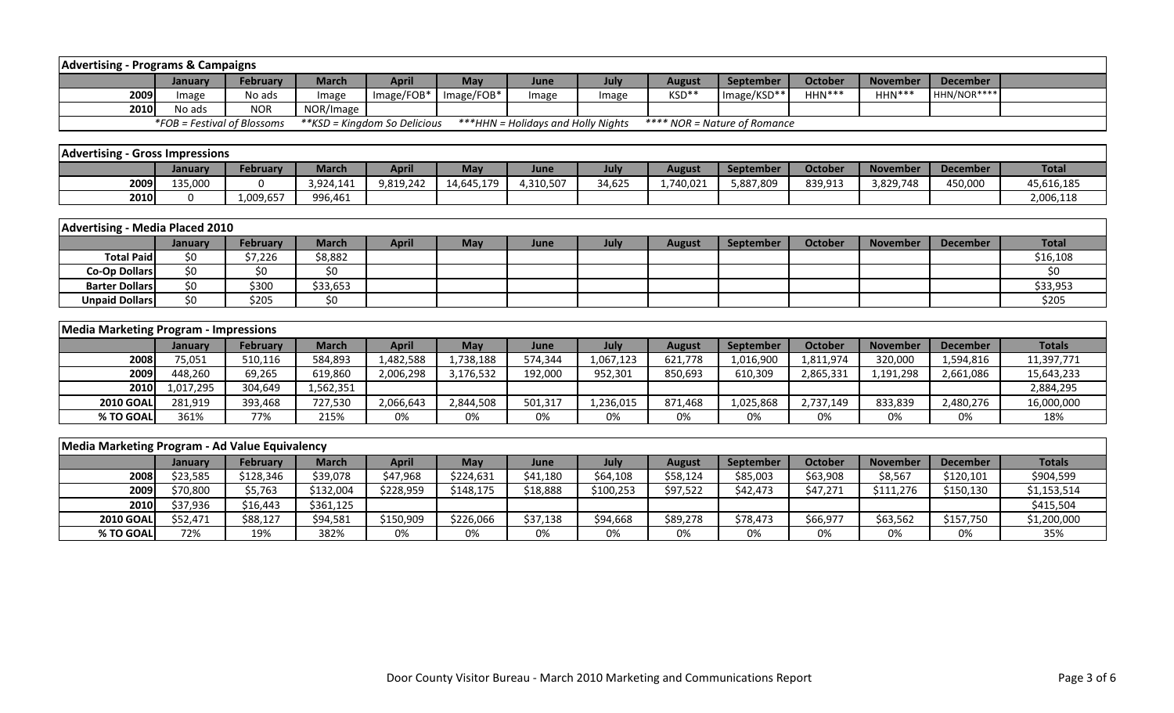| <b>Advertising - Programs &amp; Campaigns</b>         |                             |                 |              |                               |            |                                     |           |               |                              |                |                 |                 |               |
|-------------------------------------------------------|-----------------------------|-----------------|--------------|-------------------------------|------------|-------------------------------------|-----------|---------------|------------------------------|----------------|-----------------|-----------------|---------------|
|                                                       | January                     | <b>February</b> | <b>March</b> | <b>April</b>                  | May        | June                                | July      | <b>August</b> | September                    | <b>October</b> | <b>November</b> | <b>December</b> |               |
| 2009                                                  | Image                       | No ads          | Image        | Image/FOB*                    | Image/FOB* | Image                               | Image     | KSD**         | Image/KSD**                  | HHN***         | $HHN***$        | HHN/NOR****     |               |
| 2010                                                  | No ads                      | <b>NOR</b>      | NOR/Image    |                               |            |                                     |           |               |                              |                |                 |                 |               |
|                                                       | *FOB = Festival of Blossoms |                 |              | ** KSD = Kingdom So Delicious |            | *** HHN = Holidays and Holly Nights |           |               | **** NOR = Nature of Romance |                |                 |                 |               |
|                                                       |                             |                 |              |                               |            |                                     |           |               |                              |                |                 |                 |               |
| <b>Advertising - Gross Impressions</b>                |                             |                 |              |                               |            |                                     |           |               |                              |                |                 |                 |               |
|                                                       | January                     | <b>February</b> | <b>March</b> | <b>April</b>                  | May        | June                                | July      | <b>August</b> | September                    | <b>October</b> | <b>November</b> | <b>December</b> | <b>Total</b>  |
| 2009                                                  | 135,000                     |                 | 3,924,141    | 9,819,242                     | 14,645,179 | 4,310,507                           | 34,625    | 1,740,021     | 5,887,809                    | 839,913        | 3,829,748       | 450,000         | 45,616,185    |
| 2010                                                  | $\Omega$                    | 1,009,657       | 996,461      |                               |            |                                     |           |               |                              |                |                 |                 | 2,006,118     |
|                                                       |                             |                 |              |                               |            |                                     |           |               |                              |                |                 |                 |               |
| <b>Advertising - Media Placed 2010</b>                |                             |                 |              |                               |            |                                     |           |               |                              |                |                 |                 |               |
|                                                       | January                     | <b>February</b> | <b>March</b> | <b>April</b>                  | <b>May</b> | June                                | July      | <b>August</b> | September                    | <b>October</b> | <b>November</b> | <b>December</b> | <b>Total</b>  |
| <b>Total Paid</b>                                     | \$0                         | \$7,226         | \$8,882      |                               |            |                                     |           |               |                              |                |                 |                 | \$16,108      |
| <b>Co-Op Dollars</b>                                  | \$0                         | \$0             | \$0          |                               |            |                                     |           |               |                              |                |                 |                 | \$0           |
| <b>Barter Dollars</b>                                 | \$0                         | \$300           | \$33,653     |                               |            |                                     |           |               |                              |                |                 |                 | \$33,953      |
| <b>Unpaid Dollars</b>                                 | $\overline{50}$             | \$205           | \$0          |                               |            |                                     |           |               |                              |                |                 |                 | \$205         |
|                                                       |                             |                 |              |                               |            |                                     |           |               |                              |                |                 |                 |               |
| <b>Media Marketing Program - Impressions</b>          |                             |                 |              |                               |            |                                     |           |               |                              |                |                 |                 |               |
|                                                       | January                     | <b>February</b> | <b>March</b> | <b>April</b>                  | May        | June                                | July      | <b>August</b> | September                    | <b>October</b> | <b>November</b> | <b>December</b> | <b>Totals</b> |
| 2008                                                  | 75,051                      | 510,116         | 584,893      | 1,482,588                     | 1,738,188  | 574,344                             | 1,067,123 | 621,778       | 1,016,900                    | 1,811,974      | 320,000         | 1,594,816       | 11,397,771    |
| 2009                                                  | 448,260                     | 69,265          | 619,860      | 2,006,298                     | 3,176,532  | 192,000                             | 952,301   | 850,693       | 610,309                      | 2,865,331      | 1,191,298       | 2,661,086       | 15,643,233    |
| 2010                                                  | 1,017,295                   | 304,649         | 1,562,351    |                               |            |                                     |           |               |                              |                |                 |                 | 2,884,295     |
| <b>2010 GOAL</b>                                      | 281,919                     | 393,468         | 727,530      | 2,066,643                     | 2,844,508  | 501,317                             | 1,236,015 | 871,468       | 1,025,868                    | 2,737,149      | 833,839         | 2,480,276       | 16,000,000    |
| % TO GOAL                                             | 361%                        | 77%             | 215%         | 0%                            | 0%         | 0%                                  | 0%        | 0%            | 0%                           | 0%             | 0%              | 0%              | 18%           |
|                                                       |                             |                 |              |                               |            |                                     |           |               |                              |                |                 |                 |               |
| <b>Media Marketing Program - Ad Value Equivalency</b> |                             |                 |              |                               |            |                                     |           |               |                              |                |                 |                 |               |
|                                                       | January                     | <b>February</b> | <b>March</b> | <b>April</b>                  | May        | June                                | July      | <b>August</b> | September                    | <b>October</b> | <b>November</b> | <b>December</b> | <b>Totals</b> |
| 2008                                                  | \$23,585                    | \$128,346       | \$39,078     | \$47,968                      | \$224,631  | \$41,180                            | \$64,108  | \$58,124      | \$85,003                     | \$63,908       | \$8,567         | \$120,101       | \$904,599     |
| 2009                                                  | \$70,800                    | \$5,763         | \$132,004    | \$228,959                     | \$148,175  | \$18,888                            | \$100,253 | \$97,522      | \$42,473                     | \$47,271       | \$111,276       | \$150,130       | \$1,153,514   |
| 2010                                                  | \$37,936                    | \$16,443        | \$361,125    |                               |            |                                     |           |               |                              |                |                 |                 | \$415,504     |
| <b>2010 GOAL</b>                                      | \$52,471                    | \$88,127        | \$94,581     | \$150,909                     | \$226,066  | \$37,138                            | \$94,668  | \$89,278      | \$78,473                     | \$66,977       | \$63,562        | \$157,750       | \$1,200,000   |
| % TO GOAL                                             | 72%                         | 19%             | 382%         | 0%                            | 0%         | 0%                                  | 0%        | 0%            | 0%                           | 0%             | 0%              | 0%              | 35%           |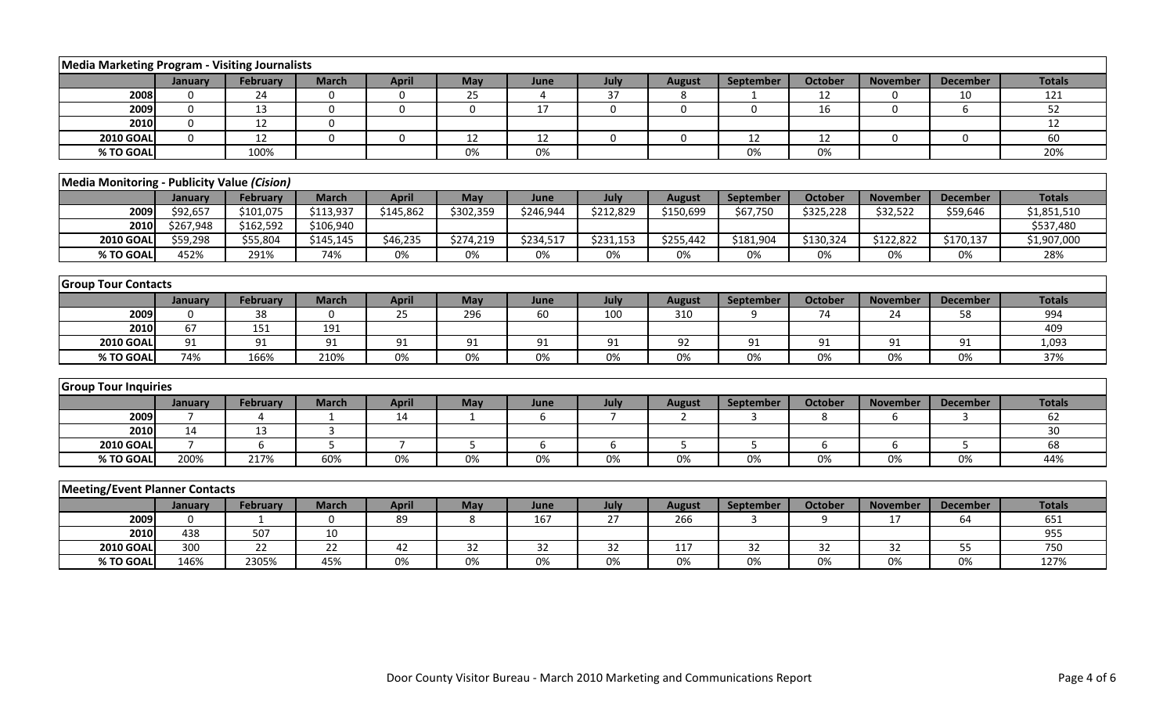| Media Marketing Program - Visiting Journalists |                |                 |                |                |              |           |                |               |              |                |                  |                 |                 |
|------------------------------------------------|----------------|-----------------|----------------|----------------|--------------|-----------|----------------|---------------|--------------|----------------|------------------|-----------------|-----------------|
|                                                | January        | <b>February</b> | <b>March</b>   | <b>April</b>   | May          | June      | July           | <b>August</b> | September    | <b>October</b> | <b>November</b>  | <b>December</b> | <b>Totals</b>   |
| 2008                                           | $\Omega$       | 24              | $\mathbf 0$    | $\mathbf 0$    | 25           | 4         | 37             | 8             |              | 12             | $\mathbf{0}$     | 10              | 121             |
| 2009                                           | $\mathbf 0$    | 13              | $\mathbf 0$    | $\mathbf 0$    | $\mathbf 0$  | 17        | $\mathbf 0$    | $\mathbf 0$   | $\mathbf 0$  | 16             | 0                | 6               | 52              |
| 2010                                           | $\mathbf 0$    | 12              | $\mathbf 0$    |                |              |           |                |               |              |                |                  |                 | $\overline{12}$ |
| <b>2010 GOAL</b>                               | $\Omega$       | 12              | 0              | $\mathbf 0$    | 12           | 12        | $\mathbf 0$    | $\mathbf 0$   | 12           | 12             | $\Omega$         | 0               | 60              |
| % TO GOAL                                      |                | 100%            |                |                | 0%           | 0%        |                |               | $0\%$        | 0%             |                  |                 | 20%             |
|                                                |                |                 |                |                |              |           |                |               |              |                |                  |                 |                 |
| Media Monitoring - Publicity Value (Cision)    |                |                 |                |                |              |           |                |               |              |                |                  |                 |                 |
|                                                | January        | <b>February</b> | <b>March</b>   | <b>April</b>   | May          | June      | July           | <b>August</b> | September    | <b>October</b> | <b>November</b>  | <b>December</b> | <b>Totals</b>   |
| 2009                                           | \$92,657       | \$101,075       | \$113,937      | \$145,862      | \$302,359    | \$246,944 | \$212,829      | \$150,699     | \$67,750     | \$325,228      | \$32,522         | \$59,646        | \$1,851,510     |
| 2010                                           | \$267,948      | \$162,592       | \$106,940      |                |              |           |                |               |              |                |                  |                 | \$537,480       |
| <b>2010 GOAL</b>                               | \$59,298       | \$55,804        | \$145,145      | \$46,235       | \$274,219    | \$234,517 | \$231,153      | \$255,442     | \$181,904    | \$130,324      | \$122,822        | \$170,137       | \$1,907,000     |
| % TO GOAL                                      | 452%           | 291%            | 74%            | 0%             | 0%           | 0%        | 0%             | 0%            | 0%           | 0%             | 0%               | 0%              | 28%             |
|                                                |                |                 |                |                |              |           |                |               |              |                |                  |                 |                 |
| <b>Group Tour Contacts</b>                     |                |                 |                |                |              |           |                |               |              |                |                  |                 |                 |
|                                                | January        | <b>February</b> | <b>March</b>   | <b>April</b>   | May          | June      | July           | <b>August</b> | September    | <b>October</b> | <b>November</b>  | <b>December</b> | <b>Totals</b>   |
| 2009                                           | $\Omega$       | 38              | $\Omega$       | 25             | 296          | 60        | 100            | 310           | $\mathbf{q}$ | 74             | 24               | 58              | 994             |
| 2010                                           | 67             | 151             | 191            |                |              |           |                |               |              |                |                  |                 | 409             |
| <b>2010 GOAL</b>                               | 91             | 91              | 91             | 91             | 91           | 91        | 91             | 92            | 91           | 91             | 91               | 91              | 1,093           |
| % TO GOAL                                      | 74%            | 166%            | 210%           | 0%             | $0\%$        | 0%        | 0%             | 0%            | $0\%$        | 0%             | 0%               | 0%              | 37%             |
|                                                |                |                 |                |                |              |           |                |               |              |                |                  |                 |                 |
| <b>Group Tour Inquiries</b>                    |                |                 |                |                |              |           |                |               |              |                |                  |                 |                 |
|                                                | January        | February        | <b>March</b>   | <b>April</b>   | May          | June      | July           | <b>August</b> | September    | <b>October</b> | <b>November</b>  | <b>December</b> | <b>Totals</b>   |
| 2009                                           | $\overline{7}$ | $\Delta$        | $\mathbf{1}$   | 14             | $\mathbf{1}$ | 6         | $\overline{7}$ | 2             | 3            | 8              | 6                | 3               | 62              |
| 2010                                           | 14             | 13              | $\overline{3}$ |                |              |           |                |               |              |                |                  |                 | 30              |
| <b>2010 GOAL</b>                               | $\overline{7}$ | 6               | 5              | $\overline{7}$ | 5            | 6         | 6              | 5             | 5            | $6\,$          | $\boldsymbol{6}$ | 5               | 68              |
| % TO GOAL                                      | 200%           | 217%            | 60%            | 0%             | $0\%$        | 0%        | $0\%$          | 0%            | $0\%$        | 0%             | 0%               | 0%              | 44%             |
|                                                |                |                 |                |                |              |           |                |               |              |                |                  |                 |                 |
| <b>Meeting/Event Planner Contacts</b>          |                |                 |                |                |              |           |                |               |              |                |                  |                 |                 |
|                                                | January        | <b>February</b> | <b>March</b>   | <b>April</b>   | May          | June      | July           | <b>August</b> | September    | <b>October</b> | <b>November</b>  | <b>December</b> | <b>Totals</b>   |
| 2009                                           | $\Omega$       |                 | 0              | 89             | 8            | 167       | 27             | 266           | 3            | 9              | 17               | 64              | 651             |
| 2010                                           | 438            | 507             | 10             |                |              |           |                |               |              |                |                  |                 | 955             |
| <b>2010 GOAL</b>                               | 300            | 22              | 22             | 42             | 32           | 32        | 32             | 117           | 32           | 32             | 32               | 55              | 750             |
| % TO GOAL                                      | 146%           | 2305%           | 45%            | 0%             | $0\%$        | $0\%$     | $0\%$          | 0%            | $0\%$        | 0%             | 0%               | $0\%$           | 127%            |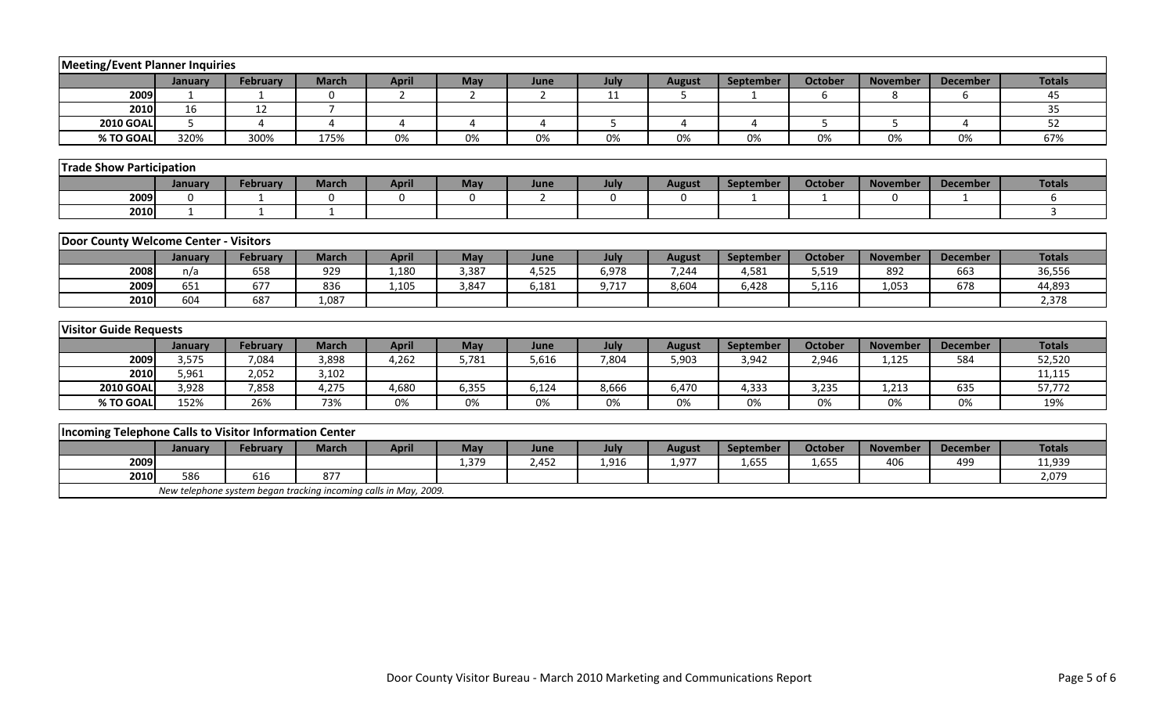| <b>Meeting/Event Planner Inquiries</b>                 |             |                                                                  |                |                |                       |                       |             |                |           |                |                 |                       |               |
|--------------------------------------------------------|-------------|------------------------------------------------------------------|----------------|----------------|-----------------------|-----------------------|-------------|----------------|-----------|----------------|-----------------|-----------------------|---------------|
|                                                        | January     | February                                                         | <b>March</b>   | <b>April</b>   | May                   | June                  | July        | <b>August</b>  | September | <b>October</b> | <b>November</b> | <b>December</b>       | <b>Totals</b> |
| 2009                                                   |             |                                                                  | $\mathbf 0$    | $\overline{2}$ | $\overline{2}$        | $\overline{2}$        | 11          | 5              |           | 6              | 8               | 6                     | 45            |
| 2010                                                   | 16          | 12                                                               | $\overline{7}$ |                |                       |                       |             |                |           |                |                 |                       | 35            |
| <b>2010 GOAL</b>                                       | 5           | $\boldsymbol{\Delta}$                                            | $\overline{a}$ | 4              | $\boldsymbol{\Delta}$ | $\boldsymbol{\Delta}$ | 5           | $\overline{4}$ | 4         | 5              | 5               | $\boldsymbol{\Delta}$ | 52            |
| % TO GOAL                                              | 320%        | 300%                                                             | 175%           | 0%             | 0%                    | 0%                    | 0%          | 0%             | 0%        | 0%             | 0%              | 0%                    | 67%           |
|                                                        |             |                                                                  |                |                |                       |                       |             |                |           |                |                 |                       |               |
| <b>Trade Show Participation</b>                        |             |                                                                  |                |                |                       |                       |             |                |           |                |                 |                       |               |
|                                                        | January     | <b>February</b>                                                  | <b>March</b>   | <b>April</b>   | May                   | June                  | July        | <b>August</b>  | September | <b>October</b> | <b>November</b> | <b>December</b>       | <b>Totals</b> |
| 2009                                                   | $\mathbf 0$ |                                                                  | 0              | 0              | $\bf{0}$              | 2                     | $\mathbf 0$ | $\mathbf 0$    |           |                | $\mathbf{0}$    |                       | 6             |
| 2010                                                   | 1           | $\mathbf{1}$                                                     | $\mathbf{1}$   |                |                       |                       |             |                |           |                |                 |                       | 3             |
|                                                        |             |                                                                  |                |                |                       |                       |             |                |           |                |                 |                       |               |
| Door County Welcome Center - Visitors                  |             |                                                                  |                |                |                       |                       |             |                |           |                |                 |                       |               |
|                                                        | January     | <b>February</b>                                                  | <b>March</b>   | <b>April</b>   | May                   | June                  | July        | <b>August</b>  | September | <b>October</b> | <b>November</b> | <b>December</b>       | <b>Totals</b> |
| 2008                                                   | n/a         | 658                                                              | 929            | 1,180          | 3,387                 | 4,525                 | 6,978       | 7,244          | 4,581     | 5,519          | 892             | 663                   | 36,556        |
| 2009                                                   | 651         | 677                                                              | 836            | 1,105          | 3,847                 | 6,181                 | 9,717       | 8,604          | 6,428     | 5,116          | 1,053           | 678                   | 44,893        |
| 2010                                                   | 604         | 687                                                              | 1,087          |                |                       |                       |             |                |           |                |                 |                       | 2,378         |
|                                                        |             |                                                                  |                |                |                       |                       |             |                |           |                |                 |                       |               |
| <b>Visitor Guide Requests</b>                          |             |                                                                  |                |                |                       |                       |             |                |           |                |                 |                       |               |
|                                                        | January     | <b>February</b>                                                  | <b>March</b>   | <b>April</b>   | May                   | June                  | July        | <b>August</b>  | September | <b>October</b> | <b>November</b> | <b>December</b>       | <b>Totals</b> |
| 2009                                                   | 3,575       | 7,084                                                            | 3,898          | 4,262          | 5,781                 | 5,616                 | 7,804       | 5,903          | 3,942     | 2,946          | 1,125           | 584                   | 52,520        |
| 2010                                                   | 5,961       | 2,052                                                            | 3,102          |                |                       |                       |             |                |           |                |                 |                       | 11,115        |
| <b>2010 GOAL</b>                                       | 3,928       | 7,858                                                            | 4,275          | 4,680          | 6,355                 | 6,124                 | 8,666       | 6,470          | 4,333     | 3,235          | 1,213           | 635                   | 57,772        |
| % TO GOAL                                              | 152%        | 26%                                                              | 73%            | 0%             | 0%                    | 0%                    | 0%          | 0%             | 0%        | 0%             | 0%              | 0%                    | 19%           |
|                                                        |             |                                                                  |                |                |                       |                       |             |                |           |                |                 |                       |               |
| Incoming Telephone Calls to Visitor Information Center |             |                                                                  |                |                |                       |                       |             |                |           |                |                 |                       |               |
|                                                        | January     | <b>February</b>                                                  | <b>March</b>   | <b>April</b>   | May                   | June                  | July        | <b>August</b>  | September | <b>October</b> | <b>November</b> | <b>December</b>       | <b>Totals</b> |
| 2009                                                   |             |                                                                  |                |                | 1,379                 | 2,452                 | 1,916       | 1,977          | 1,655     | 1,655          | 406             | 499                   | 11,939        |
| 2010                                                   | 586         | 616                                                              | 877            |                |                       |                       |             |                |           |                |                 |                       | 2,079         |
|                                                        |             | New telephone system began tracking incoming calls in May, 2009. |                |                |                       |                       |             |                |           |                |                 |                       |               |